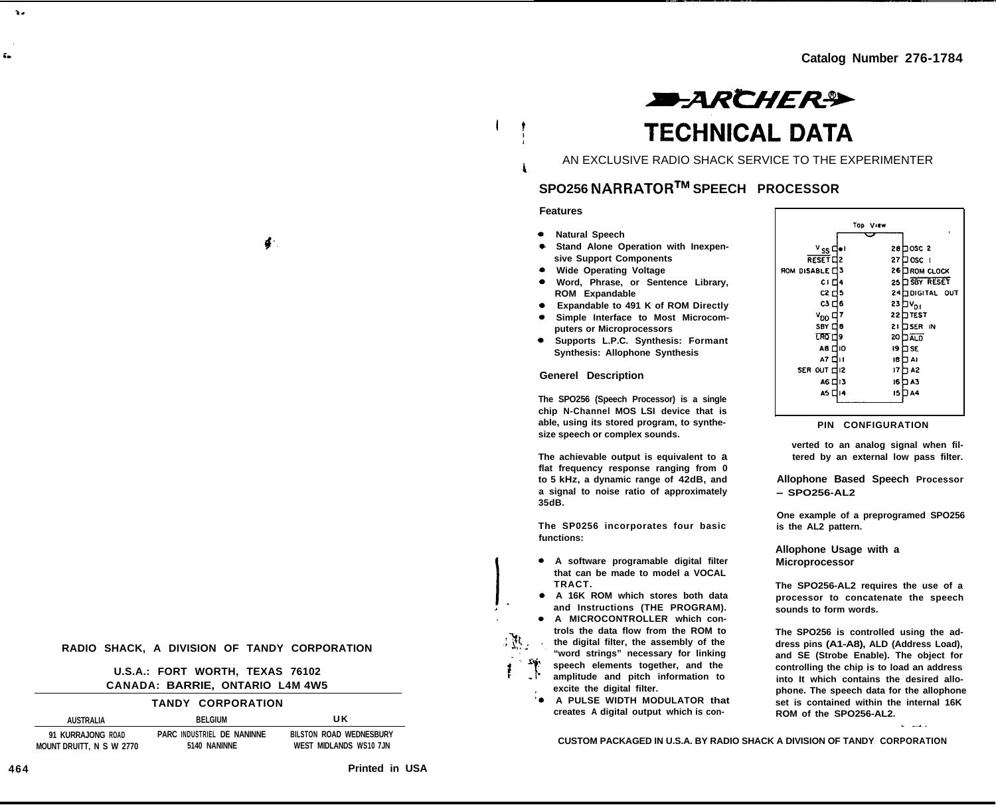# **EARCHER® TECHNICAL DATA**

AN EXCLUSIVE RADIO SHACK SERVICE TO THE EXPERIMENTER

# **SPO256 NARRATORTM SPEECH PROCESSOR**

# **Features**

- **Natural Speech**
- **Stand Alone Operation with Inexpensive Support Components**
- **Wide Operating Voltage**
- **Word, Phrase, or Sentence Library, ROM Expandable**
- **Expandable to 491 K of ROM Directly**
- $\bullet$ **Simple Interface to Most Microcom-**
- **puters or Microprocessors Supports L.P.C. Synthesis: Formant Synthesis: Allophone Synthesis**

### **Generel Description**

**The SPO256 (Speech Processor) is a single chip N-Channel MOS LSI device that is able, using its stored program, to synthesize speech or complex sounds.**

**The achievable output is equivalent to a flat frequency response ranging from 0 to 5 kHz, a dynamic range of 42dB, and a signal to noise ratio of approximately 35dB.**

**The SP0256 incorporates four basic functions:**

- **A software programable digital filter that can be made to model a VOCAL TRACT.**
- **A 16K ROM which stores both data and Instructions (THE PROGRAM).**
- **A MICROCONTROLLER which controls the data flow from the ROM to the digital filter, the assembly of the "word strings" necessary for linking speech elements together, and the amplitude and pitch information to excite the digital filter.**
- **A PULSE WIDTH MODULATOR that creates A digital output which is con-**

|                       |    | Top View        | ٠                  |
|-----------------------|----|-----------------|--------------------|
|                       |    |                 |                    |
| <sup>v</sup> ss ¤     |    |                 | 28 DOSC 2          |
| RESET <sub>12</sub>   |    | 27              | Josc i             |
| <b>ROM DISABLE □3</b> |    | 26              | ∃вом с∟оск         |
| C I E14               |    | 25 <sub>1</sub> | <b>DISBY RESET</b> |
| C2 디5                 |    |                 | 24 TIDIGITAL OUT   |
| C3 D 6                |    | 23              | iV <sub>DI</sub>   |
| ∨оо ⊏                 | 17 | 22              | <b>TTEST</b>       |
| SBY ⊡8                |    | 21              | <b>JSER IN</b>     |
| TRO ⊏l∂               |    | 20 I            | <b>JALD</b>        |
| A8 [ 10               |    | 19              | 32 C               |
| A7 □11                |    | 18 I            | ום ד               |
| SER OUT EIR           |    | 17 i            | ገ A2               |
| А6 □13                |    | 16              | 3 A 3              |
| А5 □≀4                |    | 15 I            | A4                 |
|                       |    |                 |                    |

### **PIN CONFIGURATION**

**verted to an analog signal when filtered by an external low pass filter.**

**Allophone Based Speech Processor - SPO256-AL2**

**One example of a preprogramed SPO256 is the AL2 pattern.**

**Allophone Usage with a Microprocessor**

**The SPO256-AL2 requires the use of a processor to concatenate the speech sounds to form words.**

**The SPO256 is controlled using the address pins (A1-A8), ALD (Address Load), and SE (Strobe Enable). The object for controlling the chip is to load an address into It which contains the desired allophone. The speech data for the allophone set is contained within the internal 16K ROM of the SPO256-AL2.**

**CUSTOM PACKAGED IN U.S.A. BY RADIO SHACK A DIVISION OF TANDY CORPORATION**

4

### **RADIO SHACK, A DIVISION OF TANDY CORPORATION**

# **U.S.A.: FORT WORTH, TEXAS 76102 CANADA: BARRIE, ONTARIO L4M 4W5**

# **TANDY CORPORATION**

**AUSTRALIA BELGIUM U K 91 KURRAJONG ROAD PARC INDUSTRIEL DE NANINNE BILSTON ROAD WEDNESBURY MOUNT DRUITT, N S W 2770 5140 NANINNE WEST MIDLANDS WS10 7JN**

**464 Printed in USA**

 $\mathbf{z}$ 

ź.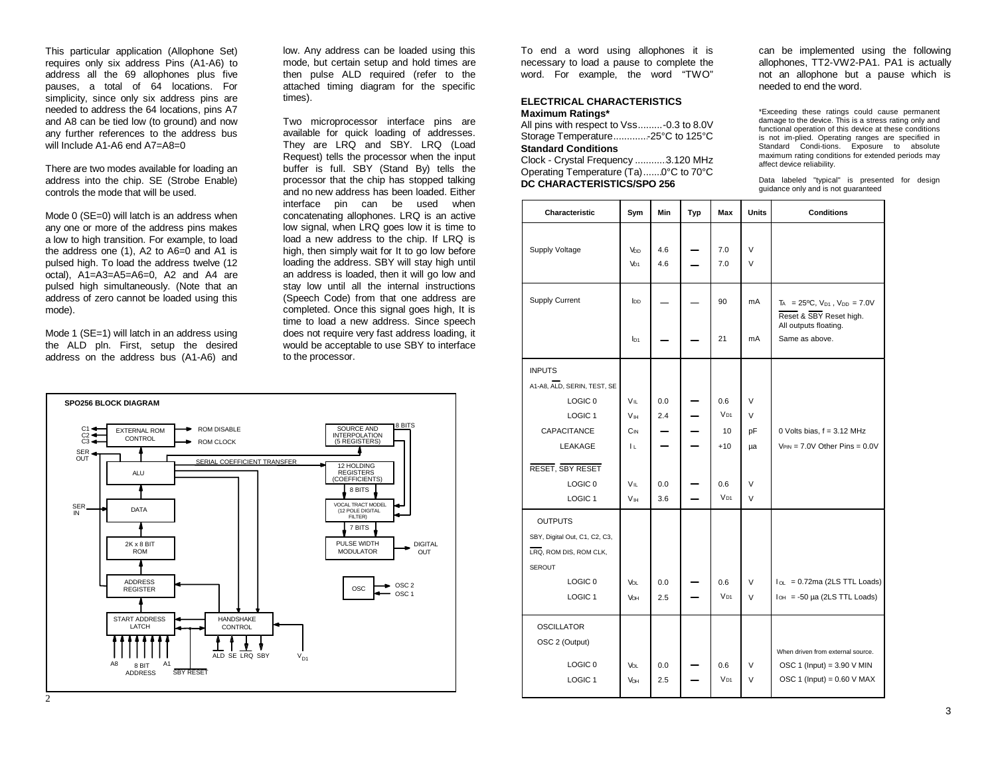This particular application (Allophone Set) requires only six address Pins (A1-A6) to address all the 69 allophones plus five pauses, a total of 64 locations. For simplicity, since only six address pins are needed to address the 64 locations, pins A7 and A8 can be tied low (to ground) and now any further references to the address bus will Include A1-A6 end A7=A8=0

There are two modes available for loading an address into the chip. SE (Strobe Enable) controls the mode that will be used.

Mode 0 (SE=0) will latch is an address when any one or more of the address pins makes a low to high transition. For example, to load the address one (1), A2 to A6=0 and A1 is pulsed high. To load the address twelve (12 octal), A1=A3=A5=A6=0, A2 and A4 are pulsed high simultaneously. (Note that an address of zero cannot be loaded using this mode).

Mode 1 (SE=1) will latch in an address using the ALD pln. First, setup the desired address on the address bus (A1-A6) and

low. Any address can be loaded using this mode, but certain setup and hold times are then pulse ALD required (refer to the attached timing diagram for the specific times).

Two microprocessor interface pins are available for quick loading of addresses. They are LRQ and SBY. LRQ (Load Request) tells the processor when the input buffer is full. SBY (Stand By) tells the processor that the chip has stopped talking and no new address has been loaded. Either interface pin can be used when concatenating allophones. LRQ is an active low signal, when LRQ goes low it is time to load a new address to the chip. If LRQ is high, then simply wait for It to go low before loading the address. SBY will stay high until an address is loaded, then it will go low and stay low until all the internal instructions (Speech Code) from that one address are completed. Once this signal goes high, It is time to load a new address. Since speech does not require very fast address loading, it would be acceptable to use SBY to interface to the processor.



To end a word using allophones it is necessary to load a pause to complete the word. For example, the word "TWO"

# **ELECTRICAL CHARACTERISTICSMaximum Ratings\***

All pins with respect to Vss.........-0.3 to 8.0V Storage Temperature.............-25°C to 125°C

**Standard Conditions**Clock - Crystal Frequency ............3.120 MHz

Operating Temperature (Ta).......0°C to 70°C **DC CHARACTERlSTlCS/SPO 256**

can be implemented using the following allophones, TT2-VW2-PA1. PA1 is actually not an allophone but a pause which is needed to end the word.

\*Exceeding these ratings could cause permanent damage to the device. This is a stress rating only and functional operation of this device at these conditions is not im-plied. Operating ranges are specified in Standard Condi-tions. Exposure to absolute maximum rating conditions for extended periods may affect device reliability.

Data labeled "typical" is presented for design guidance only and is not guaranteed

|                               |                        |     |     |                 |              | guidance only and is not guaranteed                                                                  |
|-------------------------------|------------------------|-----|-----|-----------------|--------------|------------------------------------------------------------------------------------------------------|
| Characteristic                | Sym                    | Min | Typ | Max             | <b>Units</b> | <b>Conditions</b>                                                                                    |
|                               |                        |     |     |                 |              |                                                                                                      |
| Supply Voltage                | Vbp                    | 4.6 |     | 7.0             | $\vee$       |                                                                                                      |
|                               | VD <sub>1</sub>        | 4.6 |     | 7.0             | $\vee$       |                                                                                                      |
| Supply Current                | <b>l</b> <sub>DD</sub> |     |     | 90              | mA           | $T_A = 25^{\circ}C$ , $V_{D1}$ , $V_{DD} = 7.0V$<br>Reset & SBY Reset high.<br>All outputs floating. |
|                               | I <sub>D1</sub>        |     |     | 21              | mA           | Same as above.                                                                                       |
| <b>INPUTS</b>                 |                        |     |     |                 |              |                                                                                                      |
| A1-A8, ALD, SERIN, TEST, SE   |                        |     |     |                 |              |                                                                                                      |
| LOGIC <sub>0</sub>            | $V_{\parallel}$        | 0.0 |     | 0.6             | $\vee$       |                                                                                                      |
| LOGIC <sub>1</sub>            | <b>V<sub>IH</sub></b>  | 2.4 |     | $V_{D1}$        | $\vee$       |                                                                                                      |
| CAPACITANCE                   | $C_{IN}$               |     |     | 10              | pF           | 0 Volts bias, f = 3.12 MHz                                                                           |
| LEAKAGE                       | Lυ.                    |     |     | $+10$           | μa           | $V_{PIN} = 7.0V$ Other Pins = $0.0V$                                                                 |
| RESET, SBY RESET              |                        |     |     |                 |              |                                                                                                      |
| LOGIC <sub>0</sub>            | $V_{IL}$               | 0.0 |     | 0.6             | $\vee$       |                                                                                                      |
| LOGIC <sub>1</sub>            | <b>V<sub>IH</sub></b>  | 3.6 |     | V <sub>D1</sub> | $\vee$       |                                                                                                      |
| <b>OUTPUTS</b>                |                        |     |     |                 |              |                                                                                                      |
| SBY, Digital Out, C1, C2, C3, |                        |     |     |                 |              |                                                                                                      |
| LRQ, ROM DIS, ROM CLK,        |                        |     |     |                 |              |                                                                                                      |
| <b>SEROUT</b>                 |                        |     |     |                 |              |                                                                                                      |
| LOGIC <sub>0</sub>            | Voi                    | 0.0 |     | 0.6             | $\vee$       | $I_{OL} = 0.72$ ma (2LS TTL Loads)                                                                   |
| LOGIC <sub>1</sub>            | <b>Vон</b>             | 2.5 |     | $V_{D1}$        | $\vee$       | $I_{OH}$ = -50 µa (2LS TTL Loads)                                                                    |
| <b>OSCILLATOR</b>             |                        |     |     |                 |              |                                                                                                      |
| OSC 2 (Output)                |                        |     |     |                 |              | When driven from external source.                                                                    |
| LOGIC <sub>0</sub>            | <b>VOL</b>             | 0.0 |     | 0.6             | $\vee$       | OSC 1 (Input) = $3.90$ V MIN                                                                         |
| LOGIC <sub>1</sub>            | VOH                    | 2.5 |     | $V_{D1}$        | $\vee$       | OSC 1 (Input) = $0.60$ V MAX                                                                         |
|                               |                        |     |     |                 |              |                                                                                                      |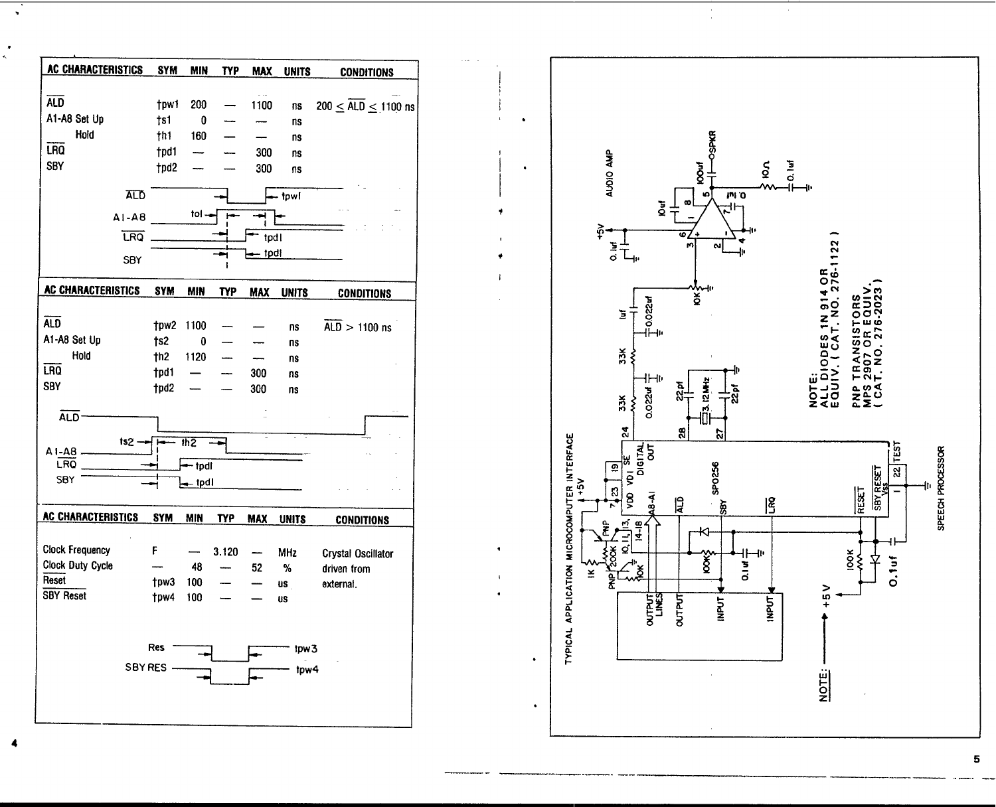



 $\pmb{\cdot}$  $\overline{a}$ 

5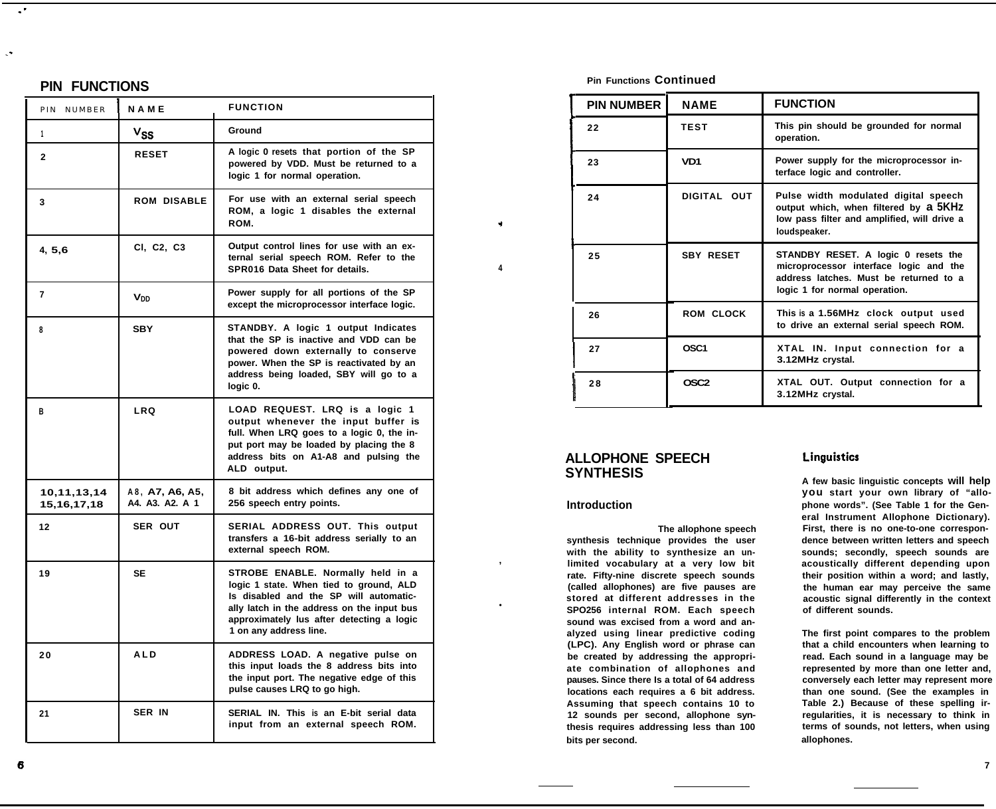# **PIN FUNCTIONS**

 $\cdot$ 

| PIN NUMBER                 | <b>NAME</b>                        | <b>FUNCTION</b>                                                                                                                                                                                                                             |
|----------------------------|------------------------------------|---------------------------------------------------------------------------------------------------------------------------------------------------------------------------------------------------------------------------------------------|
| 1                          | $v_{\rm SS}$                       | Ground                                                                                                                                                                                                                                      |
| $\mathbf{2}$               | <b>RESET</b>                       | A logic 0 resets that portion of the SP<br>powered by VDD. Must be returned to a<br>logic 1 for normal operation.                                                                                                                           |
| 3                          | <b>ROM DISABLE</b>                 | For use with an external serial speech<br>ROM, a logic 1 disables the external<br>ROM.                                                                                                                                                      |
| 4, 5, 6                    | CI, C2, C3                         | Output control lines for use with an ex-<br>ternal serial speech ROM. Refer to the<br>SPR016 Data Sheet for details.                                                                                                                        |
| 7                          | <b>V<sub>DD</sub></b>              | Power supply for all portions of the SP<br>except the microprocessor interface logic.                                                                                                                                                       |
| 8                          | <b>SBY</b>                         | STANDBY. A logic 1 output Indicates<br>that the SP is inactive and VDD can be<br>powered down externally to conserve<br>power. When the SP is reactivated by an<br>address being loaded, SBY will go to a<br>logic 0.                       |
| В                          | <b>LRQ</b>                         | LOAD REQUEST. LRQ is a logic 1<br>output whenever the input buffer is<br>full. When LRQ goes to a logic 0, the in-<br>put port may be loaded by placing the 8<br>address bits on A1-A8 and pulsing the<br>ALD output.                       |
| 10,11,13,14<br>15,16,17,18 | A8, A7, A6, A5,<br>A4. A3. A2. A 1 | 8 bit address which defines any one of<br>256 speech entry points.                                                                                                                                                                          |
| 12                         | SER OUT                            | SERIAL ADDRESS OUT. This output<br>transfers a 16-bit address serially to an<br>external speech ROM.                                                                                                                                        |
| 19                         | <b>SE</b>                          | STROBE ENABLE. Normally held in a<br>logic 1 state. When tied to ground, ALD<br>Is disabled and the SP will automatic-<br>ally latch in the address on the input bus<br>approximately lus after detecting a logic<br>1 on any address line. |
| 20                         | <b>ALD</b>                         | ADDRESS LOAD. A negative pulse on<br>this input loads the 8 address bits into<br>the input port. The negative edge of this<br>pulse causes LRQ to go high.                                                                                  |
| 21                         | SER IN                             | SERIAL IN. This is an E-bit serial data<br>input from an external speech ROM.                                                                                                                                                               |

# **Pin Functions Continued**

| <b>PIN NUMBER</b> | <b>NAME</b>      | <b>FUNCTION</b>                                                                                                                                          |
|-------------------|------------------|----------------------------------------------------------------------------------------------------------------------------------------------------------|
| 22                | <b>TEST</b>      | This pin should be grounded for normal<br>operation.                                                                                                     |
| 23                | VD <sub>1</sub>  | Power supply for the microprocessor in-<br>terface logic and controller.                                                                                 |
| 24                | DIGITAL OUT      | Pulse width modulated digital speech<br>output which, when filtered by a 5KHz<br>low pass filter and amplified, will drive a<br>loudspeaker.             |
| 25                | <b>SBY RESET</b> | STANDBY RESET. A logic 0 resets the<br>microprocessor interface logic and the<br>address latches. Must be returned to a<br>logic 1 for normal operation. |
| 26                | <b>ROM CLOCK</b> | This is a 1.56MHz clock output used<br>to drive an external serial speech ROM.                                                                           |
| 27                | OSC <sub>1</sub> | XTAL IN. Input connection for a<br>3.12MHz crystal.                                                                                                      |
| 28                | OSC2             | XTAL OUT. Output connection for a<br>3.12MHz crystal.                                                                                                    |

# **ALLOPHONE SPEECH SYNTHESIS**

### **Introduction**

**4**

4

**,**

 $\bullet$ 

**The allophone speech synthesis technique provides the user with the ability to synthesize an unlimited vocabulary at a very low bit rate. Fifty-nine discrete speech sounds (called allophones) are five pauses are stored at different addresses in the SPO256 internal ROM. Each speech sound was excised from a word and analyzed using linear predictive coding (LPC). Any English word or phrase can be created by addressing the appropriate combination of allophones and pauses. Since there Is a total of 64 address locations each requires a 6 bit address. Assuming that speech contains 10 to 12 sounds per second, allophone synthesis requires addressing less than 100 bits per second.**

# Linguistics

**A few basic linguistic concepts will help you start your own library of "allophone words". (See Table 1 for the General Instrument Allophone Dictionary). First, there is no one-to-one correspondence between written letters and speech sounds; secondly, speech sounds are acoustically different depending upon their position within a word; and lastly, the human ear may perceive the same acoustic signal differently in the context of different sounds.**

**The first point compares to the problem that a child encounters when learning to read. Each sound in a language may be represented by more than one letter and, conversely each letter may represent more than one sound. (See the examples in Table 2.) Because of these spelling irregularities, it is necessary to think in terms of sounds, not letters, when using allophones.**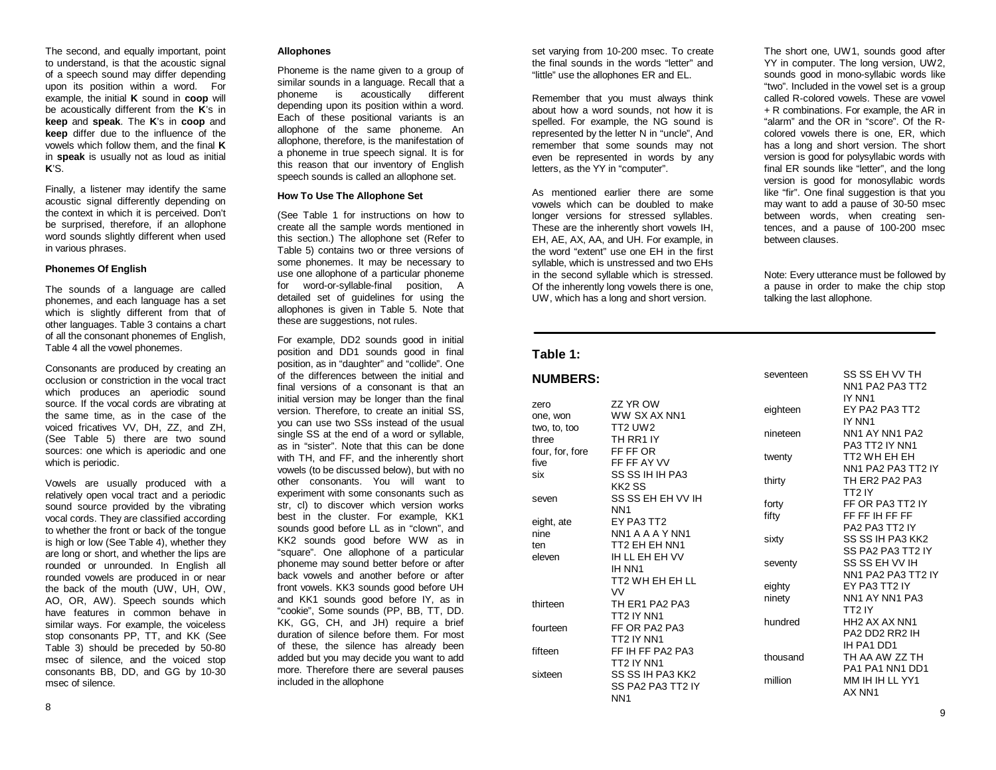The second, and equally important, point to understand, is that the acoustic signal of a speech sound may differ depending upon its position within a word. For example, the initial **K** sound in **coop** will be acoustically different from the **K**'s in **keep** and **speak**. The **K**'s in **coop** and **keep** differ due to the influence of the vowels which follow them, and the final **K**in **speak** is usually not as loud as initial **K**'S.

Finally, a listener may identify the same acoustic signal differently depending on the context in which it is perceived. Don't be surprised, therefore, if an allophone word sounds slightly different when used in various phrases.

## **Phonemes Of English**

The sounds of a language are called phonemes, and each language has a set which is slightly different from that of other languages. Table 3 contains a chart of all the consonant phonemes of English, Table 4 all the vowel phonemes.

Consonants are produced by creating an occlusion or constriction in the vocal tractwhich produces an aperiodic sound source. If the vocal cords are vibrating at the same time, as in the case of the voiced fricatives VV, DH, ZZ, and ZH, (See Table 5) there are two sound sources: one which is aperiodic and one which is periodic.

Vowels are usually produced with a relatively open vocal tract and a periodic sound source provided by the vibrating vocal cords. They are classified according to whether the front or back of the tongue is high or low (See Table 4), whether they are long or short, and whether the lips are rounded or unrounded. In English all rounded vowels are produced in or near the back of the mouth (UW, UH, OW, AO, OR, AW). Speech sounds which have features in common behave in similar ways. For example, the voiceless stop consonants PP, TT, and KK (See Table 3) should be preceded by 50-80 msec of silence, and the voiced stop consonants BB, DD, and GG by 10-30 msec of silence.

# **Allophones**

Phoneme is the name given to a group of similar sounds in a language. Recall that a phoneme is acoustically different depending upon its position within a word. Each of these positional variants is an allophone of the same phoneme. An allophone, therefore, is the manifestation of a phoneme in true speech signal. It is for this reason that our inventory of English speech sounds is called an allophone set.

### **How To Use The Allophone Set**

(See Table 1 for instructions on how to create all the sample words mentioned in this section.) The allophone set (Refer to Table 5) contains two or three versions of some phonemes. It may be necessary to use one allophone of a particular phoneme for word-or-syllable-final position, A detailed set of guidelines for using the allophones is given in Table 5. Note that these are suggestions, not rules.

For example, DD2 sounds good in initial position and DD1 sounds good in final position, as in "daughter" and "collide". One of the differences between the initial andfinal versions of a consonant is that aninitial version may be longer than the final version. Therefore, to create an initial SS, you can use two SSs instead of the usual single SS at the end of a word or syllable, as in "sister". Note that this can be donewith TH, and FF, and the inherently short vowels (to be discussed below), but with no other consonants. You will want toexperiment with some consonants such as str, cl) to discover which version works best in the cluster. For example, KK1 sounds good before LL as in "clown", and KK2 sounds good before WW as in "square". One allophone of a particular phoneme may sound better before or after back vowels and another before or afterfront vowels. KK3 sounds good before UH and KK1 sounds good before IY, as in "cookie", Some sounds (PP, BB, TT, DD. KK, GG, CH, and JH) require a brief duration of silence before them. For mostof these, the silence has already been added but you may decide you want to add more. Therefore there are several pauses included in the allophone

set varying from 10-200 msec. To create the final sounds in the words "letter" and"little" use the allophones ER and EL.

Remember that you must always think about how a word sounds, not how it is spelled. For example, the NG sound is represented by the letter N in "uncle", And remember that some sounds may not even be represented in words by any letters, as the YY in "computer".

As mentioned earlier there are somevowels which can be doubled to make longer versions for stressed syllables. These are the inherently short vowels IH, EH, AE, AX, AA, and UH. For example, in the word "extent" use one EH in the firstsyllable, which is unstressed and two EHs in the second syllable which is stressed. Of the inherently long vowels there is one, UW, which has a long and short version.

# **Table 1:**

#### **NUMBERS:**zero ZZ YR OW one, won WW SX AX NN1 two, to, too TT2 UW2 three TH RR1 IYfour, for, fore FF FF OR five FF FF AY VV six SS SS IH IH PA3 KK2 SSseven SS SS EH EH VV IH NN1eight, ate EY PA3 TT2 nine NN1 A A A Y NN1ten TT2 EH EH NN1eleven IH LL EH EH VVIH NN1TT2 WH EH EH LL $V<sub>V</sub>$  thirteen TH ER1 PA2 PA3TT2 IY NN1fourteen FF OR PA2 PA3 TT2 IY NN1 fifteen FF IH FF PA2 PA3TT2 IY NN1sixteen SS SS IH PA3 KK2 SS PA2 PA3 TT2 IYNN1seventeen eighteen nineteen twenty thirty forty fifty sixty seventy eighty ninety hundred thousand million

The short one, UW1, sounds good after YY in computer. The long version, UW2, sounds good in mono-syllabic words like "two". Included in the vowel set is a group called R-colored vowels. These are vowel+ R combinations. For example, the AR in "alarm" and the OR in "score". Of the Rcolored vowels there is one, ER, which has a long and short version. The short version is good for polysyllabic words with final ER sounds like "letter", and the long version is good for monosyllabic words like "fir". One final suggestion is that you may want to add a pause of 30-50 msec between words, when creating sentences, and a pause of 100-200 msec between clauses.

Note: Every utterance must be followed by a pause in order to make the chip stop talking the last allophone.

| SS SS EH VV TH                        |
|---------------------------------------|
| NN1 PA2 PA3 TT2                       |
| IY NN1                                |
| EY PA2 PA3 TT2                        |
| IY NN1                                |
| NN1 AY NN1 PA2                        |
| PA3 TT2 IY NN1                        |
| TT2 WH EH EH                          |
| NN1 PA2 PA3 TT2 IY                    |
| TH ER2 PA2 PA3                        |
| TT2 IY                                |
| FF OR PA3 TT2 IY                      |
| FF FF IH FF FF                        |
| PA2 PA3 TT2 IY                        |
| SS SS IH PA3 KK2                      |
| SS PA2 PA3 TT2 IY                     |
| SS SS EH VV IH                        |
| NN1 PA2 PA3 TT2 IY                    |
| EY PA3 TT2 IY                         |
| NN1 AY NN1 PA3                        |
| TT2 IY                                |
| HH <sub>2</sub> AX AX NN <sub>1</sub> |
| PA2 DD2 RR2 IH                        |
| IH PA1 DD1                            |
| TH AA AW 77 TH                        |
| PA1 PA1 NN1 DD1                       |
| MM IH IH LL YY1                       |
| AX NN1                                |
|                                       |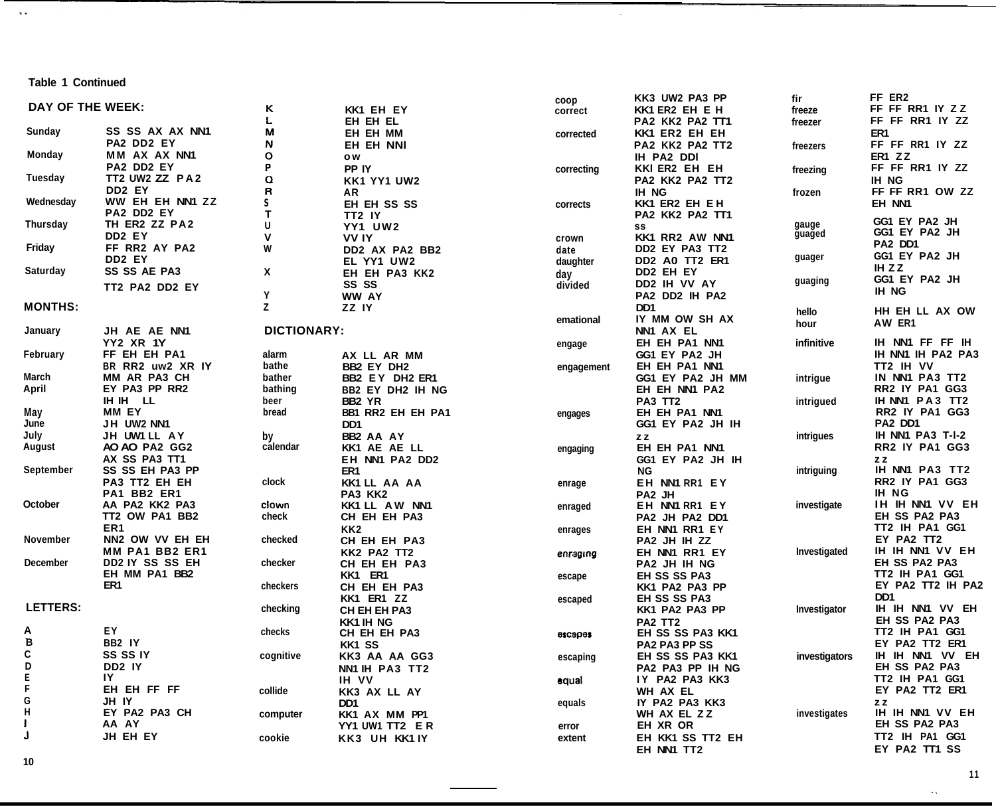**Table 1 Continued**

 $\Delta$  .

|                  |                      |                    |                         | coop       | KK3 UW2 PA3 PP       | fir           | FF ER2            |
|------------------|----------------------|--------------------|-------------------------|------------|----------------------|---------------|-------------------|
| DAY OF THE WEEK: |                      | ĸ                  | KK1 EH EY               | correct    | KK1 ER2 EH E H       | freeze        | FF FF RR1 IY ZZ   |
|                  |                      | L                  | EH EH EL                |            | PA2 KK2 PA2 TT1      | freezer       | FF FF RR1 IY ZZ   |
| Sunday           | SS SS AX AX NN1      | М                  | EH EH MM                | corrected  | KK1 ER2 EH EH        |               | ER <sub>1</sub>   |
|                  | <b>PA2 DD2 EY</b>    | N                  | <b>EH EH NNI</b>        |            | PA2 KK2 PA2 TT2      | freezers      | FF FF RR1 IY ZZ   |
| Monday           | MM AX AX NN1         | o                  | o w                     |            | IH PA2 DDI           |               | ER1 ZZ            |
|                  | PA2 DD2 EY           | P                  | PP IY                   | correcting | KKI ER2 EH EH        | freezing      | FF FF RR1 IY ZZ   |
| Tuesday          | TT2 UW2 ZZ PA2       | Q                  | KK1 YY1 UW2             |            | PA2 KK2 PA2 TT2      |               | <b>IH NG</b>      |
|                  | DD2 EY               | R                  | ΑR                      |            | <b>IH NG</b>         |               | FF FF RR1 OW ZZ   |
| Wednesday        | WW EH EH NN1 ZZ      | S                  |                         |            |                      | frozen        |                   |
|                  | PA2 DD2 EY           | т                  | EH EH SS SS             | corrects   | KK1 ER2 EH E H       |               | EH NN1            |
| Thursday         | TH ER2 ZZ PA2        | U                  | TT2 IY                  |            | PA2 KK2 PA2 TT1      | gauge         | GG1 EY PA2 JH     |
|                  | DD <sub>2</sub> EY   | v                  | <b>YY1 UW2</b>          |            | SS                   | guaged        | GG1 EY PA2 JH     |
|                  |                      |                    | <b>VVIY</b>             | crown      | KK1 RR2 AW NN1       |               | PA2 DD1           |
| Friday           | FF RR2 AY PA2        | W                  | DD2 AX PA2 BB2          | date       | DD2 EY PA3 TT2       | guager        | GG1 EY PA2 JH     |
|                  | DD <sub>2</sub> EY   |                    | EL YY1 UW2              | daughter   | DD2 A0 TT2 ER1       |               | IH ZZ             |
| Saturday         | <b>SS SS AE PA3</b>  | X                  | EH EH PA3 KK2           | day        | DD2 EH EY            |               | GG1 EY PA2 JH     |
|                  | TT2 PA2 DD2 EY       |                    | SS SS                   | divided    | DD2 IH VV AY         | guaging       | IH NG             |
|                  |                      | Y                  | WW AY                   |            | PA2 DD2 IH PA2       |               |                   |
| <b>MONTHS:</b>   |                      | z                  | ZZ IY                   |            | D <sub>D</sub>       | hello         | HH EH LL AX OW    |
|                  |                      |                    |                         | emational  | IY MM OW SH AX       | hour          | AW ER1            |
| January          | JH AE AE NN1         | <b>DICTIONARY:</b> |                         |            | NN1 AX EL            |               |                   |
|                  | <b>YY2 XR 1Y</b>     |                    |                         | engage     | EH EH PA1 NN1        | infinitive    | IH NN1 FF FF IH   |
| February         | FF EH EH PA1         | alarm              | AX LL AR MM             |            | GG1 EY PA2 JH        |               | IH NN1 IH PA2 PA3 |
|                  | BR RR2 uw2 XR IY     | bathe              | BB2 EY DH2              | engagement | EH EH PA1 NN1        |               | TT2 IH VV         |
| March            | <b>MM AR PA3 CH</b>  | bather             | BB2 EY DH2 ER1          |            | GG1 EY PA2 JH MM     | intrigue      | IN NN1 PA3 TT2    |
| April            | EY PA3 PP RR2        | bathing            | <b>BB2 EY DH2 IH NG</b> |            | EH EH NN1 PA2        |               | RR2 IY PA1 GG3    |
|                  | IH IH<br>LL          | beer               | BB <sub>2</sub> YR      |            | PA3 TT2              | intrigued     | IH NN1 PA3 TT2    |
| May              | MM EY                | bread              | BB1 RR2 EH EH PA1       |            | EH EH PA1 NN1        |               | RR2 IY PA1 GG3    |
| June             | JH UW2 NN1           |                    | DD <sub>1</sub>         | engages    | GG1 EY PA2 JH IH     |               | PA2 DD1           |
|                  |                      |                    |                         |            |                      |               |                   |
| July             | JH UW1 LL AY         | by                 | BB2 AA AY               |            | ZZ                   | intrigues     | IH NN1 PA3 T-I-2  |
| August           | AO AO PA2 GG2        | calendar           | KK1 AE AE LL            | engaging   | EH EH PA1 NN1        |               | RR2 IY PA1 GG3    |
|                  | AX SS PA3 TT1        |                    | EH NN1 PA2 DD2          |            | GG1 EY PA2 JH IH     |               | ZZ                |
| September        | SS SS EH PA3 PP      |                    | ER <sub>1</sub>         |            | ΝG                   | intriguing    | IH NN1 PA3 TT2    |
|                  | PA3 TT2 EH EH        | clock              | KK1 LL AA AA            | enrage     | EH NN1 RR1 EY        |               | RR2 IY PA1 GG3    |
|                  | PA1 BB2 ER1          |                    | PA3 KK2                 |            | PA2 JH               |               | <b>IH NG</b>      |
| October          | AA PA2 KK2 PA3       | clown              | KK1 LL AW NN1           | enraged    | EH NN1 RR1 EY        | investigate   | IH IH NN1 VV EH   |
|                  | TT2 OW PA1 BB2       | check              | CH EH EH PA3            |            | PA2 JH PA2 DD1       |               | EH SS PA2 PA3     |
|                  | ER <sub>1</sub>      |                    | KK <sub>2</sub>         | enrages    | EH NN1 RR1 EY        |               | TT2 IH PA1 GG1    |
| November         | NN2 OW VV EH EH      | checked            | CH EH EH PA3            |            | PA2 JH IH ZZ         |               | EY PA2 TT2        |
|                  | MM PA1 BB2 ER1       |                    | KK2 PA2 TT2             | enraging   | EH NN1 RR1 EY        | Investigated  | IH IH NN1 VV EH   |
| <b>December</b>  | DD2 IY SS SS EH      | checker            | CH EH EH PA3            |            | PA2 JH IH NG         |               | EH SS PA2 PA3     |
|                  | EH MM PA1 BB2        |                    | KK1 ER1                 | escape     | <b>EH SS SS PA3</b>  |               | TT2 IH PA1 GG1    |
|                  | ER1                  | checkers           | CH EH EH PA3            |            | KK1 PA2 PA3 PP       |               | EY PA2 TT2 IH PA2 |
|                  |                      |                    | KK1 ER1 ZZ              | escaped    | EH SS SS PA3         |               | DD1               |
| LETTERS:         |                      | checking           | CH EH EH PA3            |            | KK1 PA2 PA3 PP       | Investigator  | IH IH NN1 VV EH   |
|                  |                      |                    | <b>KK1 IH NG</b>        |            | PA2 TT2              |               | EH SS PA2 PA3     |
| Α                | ΕY                   | checks             | CH EH EH PA3            | escapes    | EH SS SS PA3 KK1     |               | TT2 IH PA1 GG1    |
| B                | BB2 IY               |                    | KK1 SS                  |            | <b>PA2 PA3 PP SS</b> |               | EY PA2 TT2 ER1    |
| С                | <b>SS SS IY</b>      | cognitive          |                         |            | EH SS SS PA3 KK1     | investigators | IH IH NN1 VV EH   |
|                  | DD <sub>2</sub> IY   |                    | KK3 AA AA GG3           | escaping   | PA2 PA3 PP IH NG     |               | EH SS PA2 PA3     |
| D<br>E<br>F      | IY                   |                    | NN1 IH PA3 TT2          |            |                      |               |                   |
|                  |                      |                    | IH VV                   | equal      | IY PA2 PA3 KK3       |               | TT2 IH PA1 GG1    |
| G                | EH EH FF FF<br>JH IY | collide            | KK3 AX LL AY            |            | WH AX EL             |               | EY PA2 TT2 ER1    |
| H                |                      |                    | DD1                     | equals     | IY PA2 PA3 KK3       |               | ZZ                |
|                  | EY PA2 PA3 CH        | computer           | KK1 AX MM PP1           |            | WH AX EL ZZ          | investigates  | IH IH NN1 VV EH   |
|                  | AA AY                |                    | YY1 UW1 TT2 ER          | error      | EH XR OR             |               | EH SS PA2 PA3     |
|                  | JH EH EY             | cookie             | KK3 UH KK1 IY           | extent     | EH KK1 SS TT2 EH     |               | TT2 IH PA1 GG1    |
|                  |                      |                    |                         |            | EH NN1 TT2           |               | EY PA2 TT1 SS     |

 $\sim$ 

**10**

 $\hat{\mathbf{z}}$  ,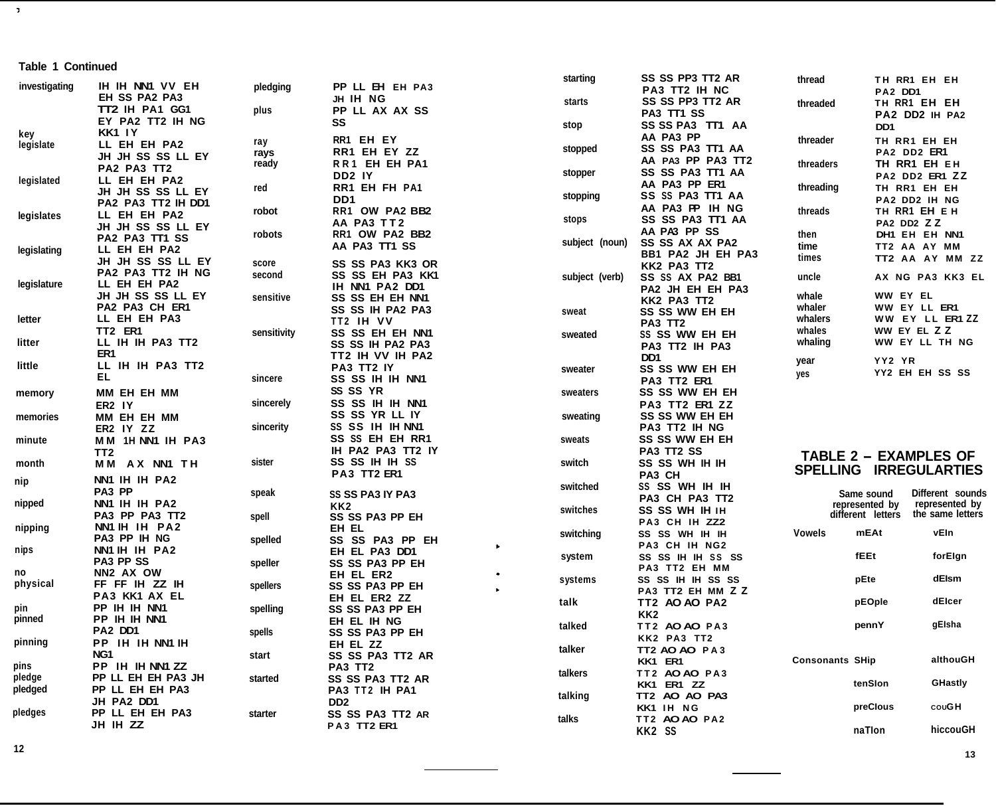# **Table 1 Continued**

 $\mathcal{T}$ 

|               |                       |             |                         |                       | starting       | SS SS PP3 TT2 AR      | thread                 |                   | TH RR1 EH EH                 |
|---------------|-----------------------|-------------|-------------------------|-----------------------|----------------|-----------------------|------------------------|-------------------|------------------------------|
| investigating | IH IH NN1 VV EH       | pledging    | PP LL EH EH PA3         |                       |                | PA3 TT2 IH NC         |                        | PA2 DD1           |                              |
|               | EH SS PA2 PA3         |             | JH IH NG                |                       | starts         | SS SS PP3 TT2 AR      |                        |                   | TH RR1 EH EH                 |
|               | TT2 IH PA1 GG1        | plus        | PP LL AX AX SS          |                       |                | PA3 TT1 SS            | threaded               |                   | PA2 DD2 IH PA2               |
|               | EY PA2 TT2 IH NG      |             | SS                      |                       |                | SS SS PA3 TT1 AA      |                        |                   |                              |
| key           | <b>KK1 IY</b>         |             |                         |                       | stop           | AA PA3 PP             |                        | D <sub>D</sub> 1  |                              |
| legislate     | LL EH EH PA2          | ray         | RR1 EH EY               |                       |                |                       | threader               |                   | TH RR1 EH EH                 |
|               | JH JH SS SS LL EY     | rays        | RR1 EH EY ZZ            |                       | stopped        | SS SS PA3 TT1 AA      |                        | PA2 DD2 ER1       |                              |
|               | PA2 PA3 TT2           | ready       | RR1 EH EH PA1           |                       |                | AA PA3 PP PA3 TT2     | threaders              |                   | TH RR1 EH EH                 |
| legislated    | LL EH EH PA2          |             | DD <sub>2</sub> IY      |                       | stopper        | SS SS PA3 TT1 AA      |                        |                   | PA2 DD2 ER1 ZZ               |
|               | JH JH SS SS LL EY     | red         | RR1 EH FH PA1           |                       |                | AA PA3 PP ER1         | threading              |                   | TH RR1 EH EH                 |
|               | PA2 PA3 TT2 IH DD1    |             | DD <sub>1</sub>         |                       | stopping       | SS SS PA3 TT1 AA      |                        |                   | PA2 DD2 IH NG                |
|               |                       | robot       | RR1 OW PA2 BB2          |                       |                | AA PA3 PP IH NG       | threads                |                   | TH RR1 EH E H                |
| legislates    | LL EH EH PA2          |             | AA PA3 TT2              |                       | stops          | SS SS PA3 TT1 AA      |                        | PA2 DD2 ZZ        |                              |
|               | JH JH SS SS LL EY     | robots      | RR1 OW PA2 BB2          |                       |                | AA PA3 PP SS          | then                   |                   | DH1 EH EH NN1                |
|               | PA2 PA3 TT1 SS        |             | AA PA3 TT1 SS           |                       | subject (noun) | SS SS AX AX PA2       | time                   |                   | TT2 AA AY MM                 |
| legislating   | LL EH EH PA2          |             |                         |                       |                | BB1 PA2 JH EH PA3     | times                  |                   | TT2 AA AY MM ZZ              |
|               | JH JH SS SS LL EY     | score       | <b>SS SS PA3 KK3 OR</b> |                       |                | KK2 PA3 TT2           |                        |                   |                              |
|               | PA2 PA3 TT2 IH NG     | second      | <b>SS SS EH PA3 KK1</b> |                       | subject (verb) | SS SS AX PA2 BB1      | uncle                  |                   | AX NG PA3 KK3 EL             |
| legislature   | LL EH EH PA2          |             | IH NN1 PA2 DD1          |                       |                | PA2 JH EH EH PA3      |                        |                   |                              |
|               | JH JH SS SS LL EY     | sensitive   | SS SS EH EH NN1         |                       |                | KK2 PA3 TT2           | whale                  | WW EY EL          |                              |
|               | PA2 PA3 CH ER1        |             | SS SS IH PA2 PA3        |                       | sweat          | SS SS WW EH EH        | whaler                 |                   | WW EY LL ER1                 |
| letter        | LL EH EH PA3          |             | TT2 IH VV               |                       |                |                       | whalers                |                   | WW EY LL ER1 ZZ              |
|               | TT2 ER1               | sensitivity | SS SS EH EH NN1         |                       |                | PA3 TT2               | whales                 | WW EY EL ZZ       |                              |
| litter        | LL IH IH PA3 TT2      |             |                         |                       | sweated        | SS SS WW EH EH        | whaling                |                   | WW EY LL TH NG               |
|               | ER1                   |             | SS SS IH PA2 PA3        |                       |                | PA3 TT2 IH PA3        |                        |                   |                              |
| little        | LL IH IH PA3 TT2      |             | TT2 IH VV IH PA2        |                       |                | DD1                   | year                   | YY2 YR            |                              |
|               | EL                    |             | <b>PA3 TT2 IY</b>       |                       | sweater        | SS SS WW EH EH        | yes                    |                   | YY2 EH EH SS SS              |
|               |                       | sincere     | SS SS IH IH NN1         |                       |                | PA3 TT2 ER1           |                        |                   |                              |
| memory        | MM EH EH MM           |             | SS SS YR                |                       | sweaters       | SS SS WW EH EH        |                        |                   |                              |
|               | ER2 IY                | sincerely   | SS SS IH IH NN1         |                       |                | PA3 TT2 ER1 ZZ        |                        |                   |                              |
| memories      | MM EH EH MM           |             | SS SS YR LL IY          |                       | sweating       | <b>SS SS WW EH EH</b> |                        |                   |                              |
|               | ER2 IY ZZ             | sincerity   | SS SS IH IH NN1         |                       |                | <b>PA3 TT2 IH NG</b>  |                        |                   |                              |
| minute        | MM 1H NN1 IH PA3      |             | SS SS EH EH RR1         |                       | sweats         | <b>SS SS WW EH EH</b> |                        |                   |                              |
|               | TT <sub>2</sub>       |             | IH PA2 PA3 TT2 IY       |                       |                | PA3 TT2 SS            |                        |                   |                              |
|               |                       | sister      | SS SS IH IH SS          |                       | switch         | SS SS WH IH IH        |                        |                   | <b>TABLE 2 - EXAMPLES OF</b> |
| month         | MM AX NN1 TH          |             | PA3 TT2 ER1             |                       |                | PA3 CH                |                        |                   | SPELLING IRREGULARTIES       |
| nip           | NN1 IH IH PA2         |             |                         |                       |                |                       |                        |                   |                              |
|               | PA3 PP                | speak       | <b>SS SS PA3 IY PA3</b> |                       | switched       | SS SS WH IH IH        |                        | Same sound        | Different sounds             |
| nipped        | NN1 IH IH PA2         |             | KK2                     |                       |                | PA3 CH PA3 TT2        |                        | represented by    | represented by               |
|               | PA3 PP PA3 TT2        | spell       | SS SS PA3 PP EH         |                       | switches       | SS SS WH IH IH        |                        | different letters | the same letters             |
| nipping       | NN1 IH IH PA2         |             | EH EL                   |                       |                | PA3 CH IH ZZ2         |                        |                   |                              |
|               | PA3 PP IH NG          | spelled     | SS SS PA3 PP EH         |                       | switching      | SS SS WH IH IH        | Vowels                 | mEAt              | vEln                         |
| nips          | NN1 IH IH PA2         |             | EH EL PA3 DD1           | $\blacktriangleright$ |                | PA3 CH IH NG2         |                        |                   |                              |
|               | PA3 PP SS             |             |                         |                       | system         | SS SS IH IH SS SS     |                        | fEEt              | forElgn                      |
| no            | NN <sub>2</sub> AX OW | speller     | SS SS PA3 PP EH         |                       |                | PA3 TT2 EH MM         |                        |                   |                              |
|               |                       |             | EH EL ER2               |                       | systems        | SS SS IH IH SS SS     |                        | pEte              | dElsm                        |
| physical      | FF FF IH ZZ IH        | spellers    | SS SS PA3 PP EH         |                       |                | PA3 TT2 EH MM Z Z     |                        |                   |                              |
|               | PA3 KK1 AX EL         |             | EH EL ER2 ZZ            |                       | talk           | TT2 AO AO PA2         |                        | pEOple            | dElcer                       |
| pin           | PP IH IH NN1          | spelling    | SS SS PA3 PP EH         |                       |                | KK <sub>2</sub>       |                        |                   |                              |
| pinned        | PP IH IH NN1          |             | EH EL IH NG             |                       | talked         | TT2 AO AO PA3         |                        | pennY             | gElsha                       |
|               | PA2 DD1               | spells      | SS SS PA3 PP EH         |                       |                | KK2 PA3 TT2           |                        |                   |                              |
| pinning       | PP IH IH NN1 IH       |             | EH EL ZZ                |                       |                |                       |                        |                   |                              |
|               | NG <sub>1</sub>       | start       | SS SS PA3 TT2 AR        |                       | talker         | TT2 AO AO PA3         |                        |                   | althouGH                     |
| pins          | PP IH IH NN1 ZZ       |             | PA3 TT2                 |                       |                | KK1 ER1               | <b>Consonants SHip</b> |                   |                              |
| pledge        | PP LL EH EH PA3 JH    | started     | SS SS PA3 TT2 AR        |                       | talkers        | TT2 AO AO PA3         |                        |                   |                              |
| pledged       | PP LL EH EH PA3       |             | PA3 TT2 IH PA1          |                       |                | KK1 ER1 ZZ            |                        | tenSlon           | <b>GHastly</b>               |
|               | JH PA2 DD1            |             | DD <sub>2</sub>         |                       | talking        | TT2 AO AO PA3         |                        |                   |                              |
| pledges       | PP LL EH EH PA3       | starter     | SS SS PA3 TT2 AR        |                       |                | KK1 IH NG             |                        | preClous          | couGH                        |
|               |                       |             |                         |                       | talks          | TT2 AO AO PA2         |                        |                   |                              |
|               | JH IH ZZ              |             | PA3 TT2 ER1             |                       |                | KK2 SS                |                        | naTion            | hiccouGH                     |
|               |                       |             |                         |                       |                |                       |                        |                   |                              |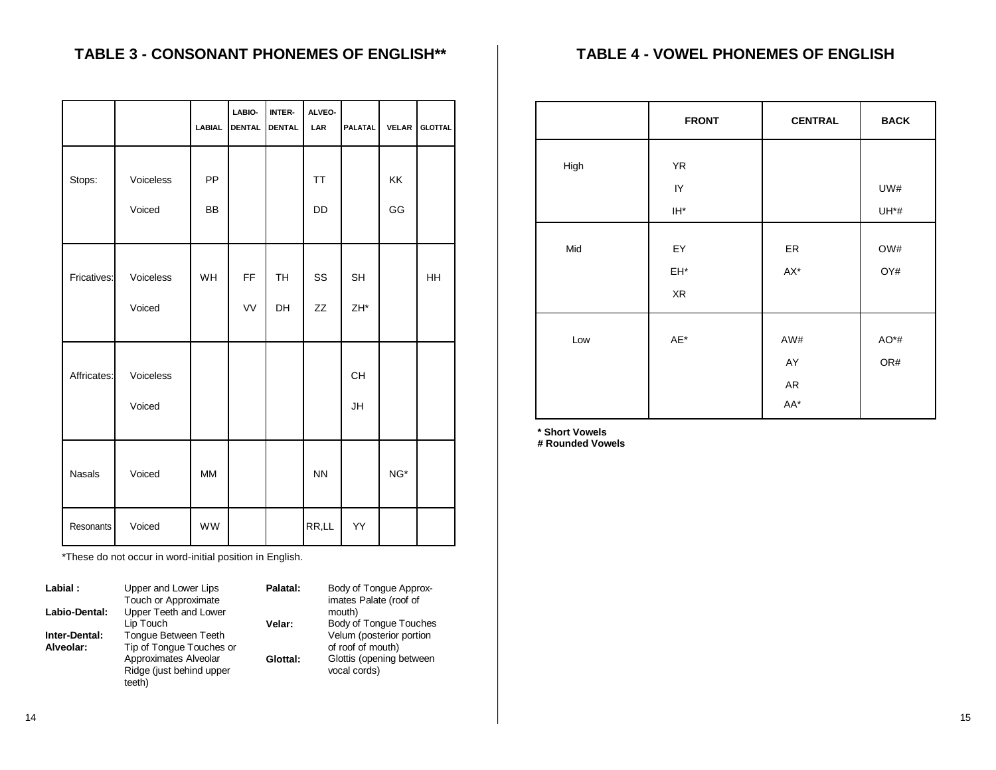# **TABLE 3 - CONSONANT PHONEMES OF ENGLISH\*\***

|               |                     | <b>LABIAL</b>   | LABIO-<br><b>DENTAL</b> | INTER-<br><b>DENTAL</b> | ALVEO-<br>LAR   | <b>PALATAL</b>               | <b>VELAR</b>        | <b>GLOTTAL</b> |
|---------------|---------------------|-----------------|-------------------------|-------------------------|-----------------|------------------------------|---------------------|----------------|
| Stops:        | Voiceless<br>Voiced | PP<br><b>BB</b> |                         |                         | <b>TT</b><br>DD |                              | <b>KK</b><br>GG     |                |
| Fricatives:   | Voiceless<br>Voiced | <b>WH</b>       | FF<br>VV                | <b>TH</b><br>DH         | SS<br>ZZ        | <b>SH</b><br>ZH <sup>*</sup> |                     | <b>HH</b>      |
| Affricates:   | Voiceless<br>Voiced |                 |                         |                         |                 | CH<br>JH                     |                     |                |
| <b>Nasals</b> | Voiced              | <b>MM</b>       |                         |                         | <b>NN</b>       |                              | $\mathsf{NG}^\star$ |                |
| Resonants     | Voiced              | WW              |                         |                         | RR,LL           | YY                           |                     |                |

\*These do not occur in word-initial position in English.

| Labial:       | Upper and Lower Lips     | Palatal: | Body of Tonque Approx-   |
|---------------|--------------------------|----------|--------------------------|
|               | Touch or Approximate     |          | imates Palate (roof of   |
| Labio-Dental: | Upper Teeth and Lower    |          | mouth)                   |
|               | Lip Touch                | Velar:   | Body of Tongue Touches   |
| Inter-Dental: | Tonque Between Teeth     |          | Velum (posterior portion |
| Alveolar:     | Tip of Tongue Touches or |          | of roof of mouth)        |
|               | Approximates Alveolar    | Glottal: | Glottis (opening between |
|               | Ridge (just behind upper |          | vocal cords)             |
|               | teeth)                   |          |                          |

Body of Tongue Touches

# **TABLE 4 - VOWEL PHONEMES OF ENGLISH**

| <b>FRONT</b> | <b>CENTRAL</b>                        | <b>BACK</b> |
|--------------|---------------------------------------|-------------|
| YR           |                                       |             |
| IY           |                                       | UW#         |
| IH*          |                                       | UH*#        |
| EY<br>EH*    | ER<br>$\mathsf{A} \mathsf{X}^{\star}$ | OW#<br>OY#  |
| AE*          | AW#<br>AY<br>${\sf AR}$               | AO*#<br>OR# |
|              | $\ensuremath{\mathsf{XR}}$            | AA*         |

**\* Short Vowels**

**# Rounded Vowels**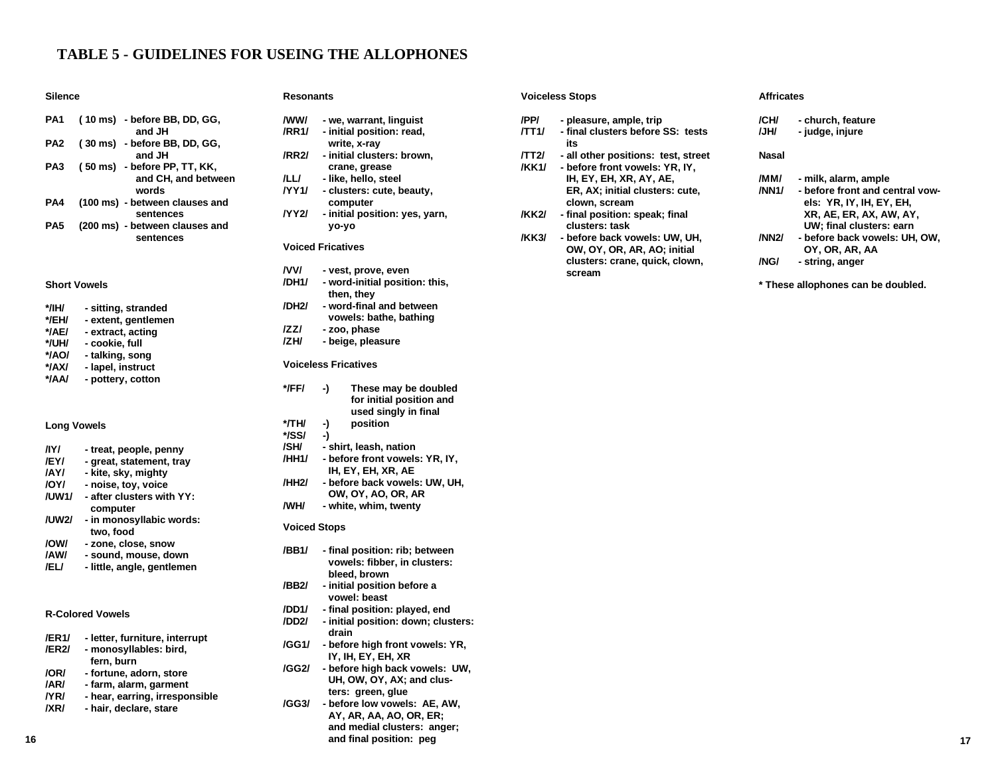# **TABLE 5 - GUIDELINES FOR USEING THE ALLOPHONES**

### **Silence**

| PA <sub>1</sub> | (10 ms) - before BB, DD, GG,<br>and JH                       |
|-----------------|--------------------------------------------------------------|
| PA2             | (30 ms) - before BB, DD, GG,<br>and JH                       |
| PA3             | (50 ms) - before PP, TT, KK,<br>and CH, and between<br>words |
| PA4             | (100 ms) - between clauses and<br>sentences                  |
| PA5             | (200 ms) - between clauses and<br>sentences                  |

# **Short Vowels**

# **Long Vowels**

| - treat, people, penny    |
|---------------------------|
| - great, statement, trav  |
| - kite, sky, mighty       |
| - noise, toy, voice       |
| - after clusters with YY: |
| computer                  |
| - in monosyllabic words:  |
| two, food                 |
| - zone, close, snow       |
| - sound, mouse, down      |
|                           |

# **/EL/ - little, angle, gentlemen**

# **R-Colored Vowels**

| /ER1/ | - letter, furniture, interrupt |
|-------|--------------------------------|
| /ER2/ | - monosyllables: bird,         |
|       | fern. burn                     |
| /OR/  | - fortune, adorn, store        |
| /AR/  | - farm, alarm, garment         |
| /YR/  | - hear, earring, irresponsible |
| /XR/  | - hair, declare, stare         |

### **Resonants**

- **/WW/ we, warrant, linguist /RR1/ - initial position: read, write, x-ray**
- **/RR2/ initial clusters: brown, crane, grease**
- **/LL/ like, hello, steel**
- **/YY1/ clusters: cute, beauty, computer**
- **/YY2/ initial position: yes, yarn, yo-yo**

### **Voiced Fricatives**

- **/VV/ vest, prove, even**
- **/DH1/ word-initial position: this, then, they /DH2/ - word-final and between**
	- **vowels: bathe, bathing**
- **/ZZ/ zoo, phase**
- **/ZH/ beige, pleasure**

## **Voiceless Fricatives**

- **\*/FF/ -) These may be doubled for initial position and used singly in final**
- **\*/TH/ -) position**
- **\*/SS/ -)**
	-
- **/SH/ shirt, leash, nation /HH1/ - before front vowels: YR, IY, IH, EY, EH, XR, AE**
- **/HH2/ before back vowels: UW, UH, OW, OY, AO, OR, AR**
- **/WH/ white, whim, twenty**

# **Voiced Stops**

- **/BB1/ final position: rib; between vowels: fibber, in clusters: bleed, brown**
- **/BB2/ initial position before a vowel: beast**
- **/DD1/ final position: played, end**
- **/DD2/ initial position: down; clusters: drain**
- **/GG1/ before high front vowels: YR, IY, IH, EY, EH, XR**
- **/GG2/ before high back vowels: UW, UH, OW, OY, AX; and clusters: green, glue**
- **/GG3/ before low vowels: AE, AW, AY, AR, AA, AO, OR, ER; and medial clusters: anger; and final position: peg**

|              | <b>Voiceless Stops</b>                           |       | <b>Affricates</b>                                              |  |  |  |
|--------------|--------------------------------------------------|-------|----------------------------------------------------------------|--|--|--|
| /PP/         | - pleasure, ample, trip                          | /CH/  | - church, feature                                              |  |  |  |
| /TT1/        | - final clusters before SS: tests<br>its         | /JH/  | - judge, injure                                                |  |  |  |
| <b>/TT2/</b> | - all other positions: test, street              | Nasal |                                                                |  |  |  |
| <b>/KK1/</b> | - before front vowels: YR. IY.                   |       |                                                                |  |  |  |
|              | IH, EY, EH, XR, AY, AE,                          | /MM/  | - milk, alarm, ample                                           |  |  |  |
|              | ER, AX; initial clusters: cute,<br>clown, scream | /NN1/ | - before front and central vow-<br>els: $YR$ , IY, IH, EY, EH, |  |  |  |
| <b>/KK2/</b> | - final position: speak; final<br>clusters: task |       | XR, AE, ER, AX, AW, AY,<br>UW: final clusters: earn            |  |  |  |
| <b>/KK3/</b> | - before back vowels: UW, UH,                    | /NN2/ | - before back vowels: UH, OW,                                  |  |  |  |
|              | OW, OY, OR, AR, AO; initial                      |       | OY, OR, AR, AA                                                 |  |  |  |
|              | clusters: crane, quick, clown,<br>scream         | /NG/  | - string, anger                                                |  |  |  |
|              |                                                  |       | * These allophones can be doubled.                             |  |  |  |
|              |                                                  |       |                                                                |  |  |  |